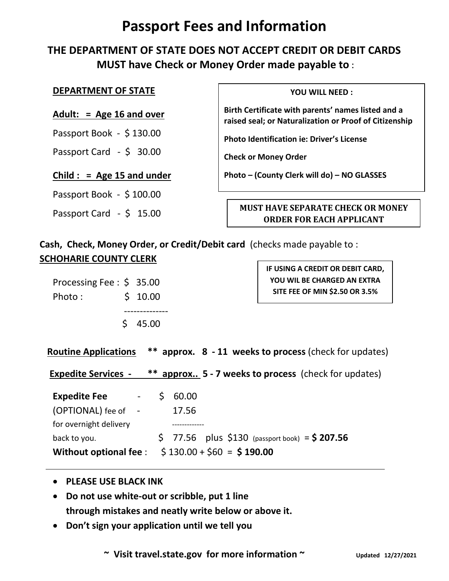# **Passport Fees and Information**

## **THE DEPARTMENT OF STATE DOES NOT ACCEPT CREDIT OR DEBIT CARDS MUST have Check or Money Order made payable to** :

#### **DEPARTMENT OF STATE**

#### **Adult: = Age 16 and over**

Passport Book - \$ 130.00

Passport Card - \$ 30.00

#### **Child : = Age 15 and under**

Passport Book - \$ 100.00

Passport Card - \$ 15.00

**YOU WILL NEED :**

**Birth Certificate with parents' names listed and a raised seal; or Naturalization or Proof of Citizenship** 

**Photo Identification ie: Driver's License**

**Check or Money Order**

**Photo – (County Clerk will do) – NO GLASSES** 

#### **MUST HAVE SEPARATE CHECK OR MONEY ORDER FOR EACH APPLICANT**

**Cash, Check, Money Order, or Credit/Debit card** (checks made payable to : **SCHOHARIE COUNTY CLERK**

| Processing Fee: $\frac{1}{2}$ 35.00 |         |  |
|-------------------------------------|---------|--|
| Photo :                             | \$10.00 |  |
|                                     |         |  |
|                                     | 545.00  |  |

**IF USING A CREDIT OR DEBIT CARD, YOU WIL BE CHARGED AN EXTRA SITE FEE OF MIN \$2.50 OR 3.5%**

 **Routine Applications \*\* approx. 8 - 11 weeks to process** (check for updates)

**Expedite Services - \*\* approx.. 5 - 7 weeks to process** (check for updates)

| <b>Expedite Fee</b><br>$\mathcal{L}^{\mathcal{L}}(\mathcal{L}^{\mathcal{L}}(\mathcal{L}^{\mathcal{L}}(\mathcal{L}^{\mathcal{L}}(\mathcal{L}^{\mathcal{L}}(\mathcal{L}^{\mathcal{L}}(\mathcal{L}^{\mathcal{L}}(\mathcal{L}^{\mathcal{L}}(\mathcal{L}^{\mathcal{L}}(\mathcal{L}^{\mathcal{L}}(\mathcal{L}^{\mathcal{L}}(\mathcal{L}^{\mathcal{L}}(\mathcal{L}^{\mathcal{L}}(\mathcal{L}^{\mathcal{L}}(\mathcal{L}^{\mathcal{L}}(\mathcal{L}^{\mathcal{L}}(\mathcal{L}^{\mathcal{L$ |  | \$60.00 |  |                                                   |
|----------------------------------------------------------------------------------------------------------------------------------------------------------------------------------------------------------------------------------------------------------------------------------------------------------------------------------------------------------------------------------------------------------------------------------------------------------------------------------|--|---------|--|---------------------------------------------------|
| (OPTIONAL) fee of -                                                                                                                                                                                                                                                                                                                                                                                                                                                              |  | 17.56   |  |                                                   |
| for overnight delivery                                                                                                                                                                                                                                                                                                                                                                                                                                                           |  |         |  |                                                   |
| back to you.                                                                                                                                                                                                                                                                                                                                                                                                                                                                     |  |         |  | $5$ 77.56 plus $$130$ (passport book) = $$207.56$ |
| Without optional fee: $\frac{1}{2}$ 130.00 + $\frac{2}{5}$ 60 = \$190.00                                                                                                                                                                                                                                                                                                                                                                                                         |  |         |  |                                                   |

- **PLEASE USE BLACK INK**
- **Do not use white-out or scribble, put 1 line through mistakes and neatly write below or above it.**
- **Don't sign your application until we tell you**

 **~ Visit travel.state.gov for more information ~ Updated 12/27/2021**